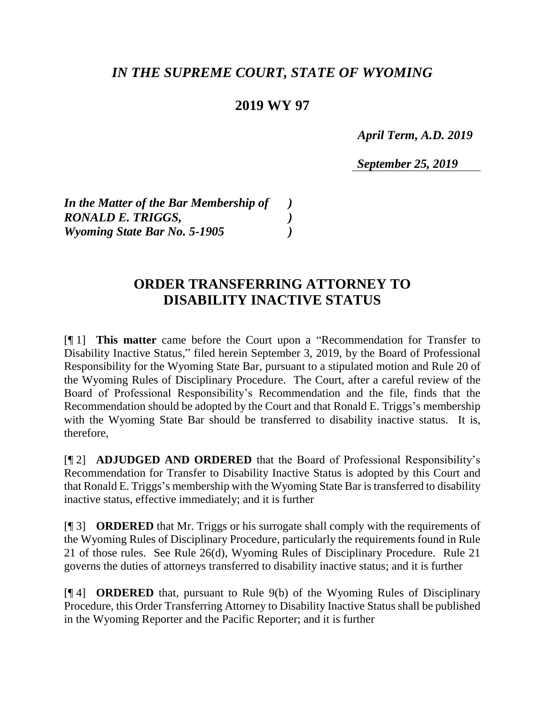## *IN THE SUPREME COURT, STATE OF WYOMING*

## **2019 WY 97**

 *April Term, A.D. 2019*

*September 25, 2019*

*In the Matter of the Bar Membership of ) RONALD E. TRIGGS, ) Wyoming State Bar No. 5-1905 )*

## **ORDER TRANSFERRING ATTORNEY TO DISABILITY INACTIVE STATUS**

[¶ 1] **This matter** came before the Court upon a "Recommendation for Transfer to Disability Inactive Status," filed herein September 3, 2019, by the Board of Professional Responsibility for the Wyoming State Bar, pursuant to a stipulated motion and Rule 20 of the Wyoming Rules of Disciplinary Procedure. The Court, after a careful review of the Board of Professional Responsibility's Recommendation and the file, finds that the Recommendation should be adopted by the Court and that Ronald E. Triggs's membership with the Wyoming State Bar should be transferred to disability inactive status. It is, therefore,

[¶ 2] **ADJUDGED AND ORDERED** that the Board of Professional Responsibility's Recommendation for Transfer to Disability Inactive Status is adopted by this Court and that Ronald E. Triggs's membership with the Wyoming State Bar is transferred to disability inactive status, effective immediately; and it is further

[¶ 3] **ORDERED** that Mr. Triggs or his surrogate shall comply with the requirements of the Wyoming Rules of Disciplinary Procedure, particularly the requirements found in Rule 21 of those rules. See Rule 26(d), Wyoming Rules of Disciplinary Procedure. Rule 21 governs the duties of attorneys transferred to disability inactive status; and it is further

[¶ 4] **ORDERED** that, pursuant to Rule 9(b) of the Wyoming Rules of Disciplinary Procedure, this Order Transferring Attorney to Disability Inactive Status shall be published in the Wyoming Reporter and the Pacific Reporter; and it is further